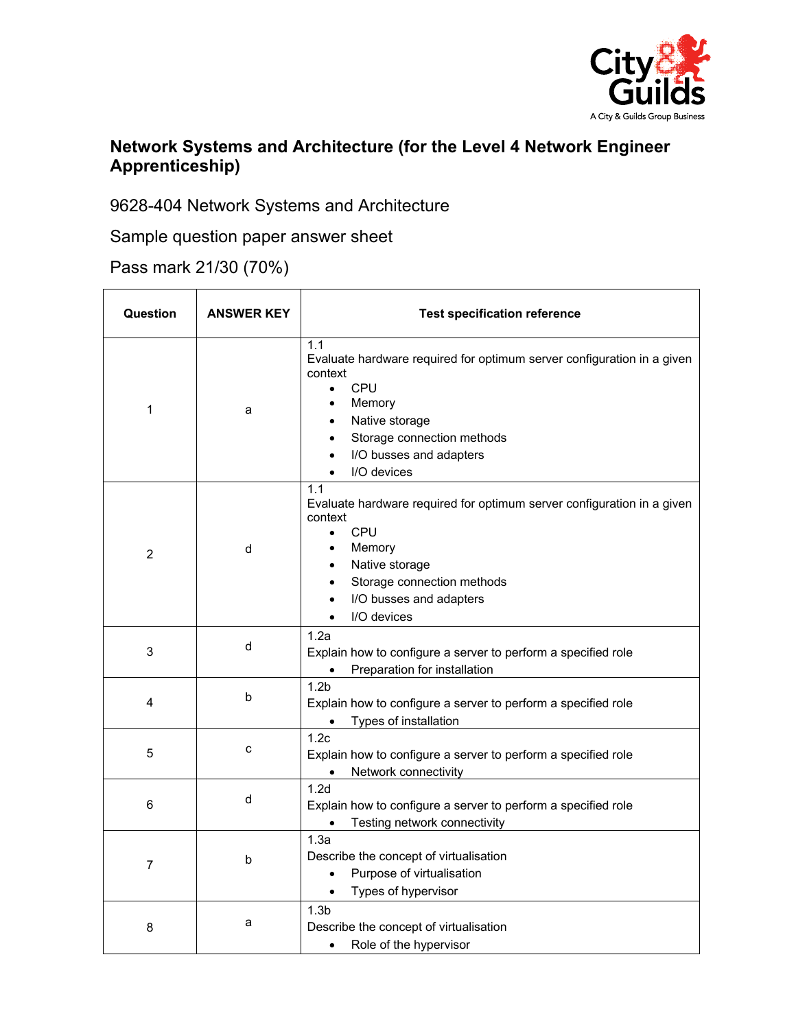

## **Network Systems and Architecture (for the Level 4 Network Engineer Apprenticeship)**

9628-404 Network Systems and Architecture

Sample question paper answer sheet

Pass mark 21/30 (70%)

| Question       | <b>ANSWER KEY</b> | <b>Test specification reference</b>                                                                                                                                                                              |
|----------------|-------------------|------------------------------------------------------------------------------------------------------------------------------------------------------------------------------------------------------------------|
| 1              | a                 | 1.1<br>Evaluate hardware required for optimum server configuration in a given<br>context<br>CPU<br>$\bullet$<br>Memory<br>Native storage<br>Storage connection methods<br>I/O busses and adapters<br>I/O devices |
| $\overline{c}$ | d                 | 1.1<br>Evaluate hardware required for optimum server configuration in a given<br>context<br>CPU<br>$\bullet$<br>Memory<br>Native storage<br>Storage connection methods<br>I/O busses and adapters<br>I/O devices |
| 3              | d                 | 1.2a<br>Explain how to configure a server to perform a specified role<br>Preparation for installation                                                                                                            |
| 4              | b                 | 1.2 <sub>b</sub><br>Explain how to configure a server to perform a specified role<br>Types of installation<br>$\bullet$                                                                                          |
| 5              | c                 | 1.2c<br>Explain how to configure a server to perform a specified role<br>Network connectivity                                                                                                                    |
| 6              | d                 | 1.2d<br>Explain how to configure a server to perform a specified role<br>Testing network connectivity                                                                                                            |
| $\overline{7}$ | b                 | 1.3a<br>Describe the concept of virtualisation<br>Purpose of virtualisation<br>$\bullet$<br>Types of hypervisor                                                                                                  |
| 8              | a                 | 1.3 <sub>b</sub><br>Describe the concept of virtualisation<br>Role of the hypervisor<br>$\bullet$                                                                                                                |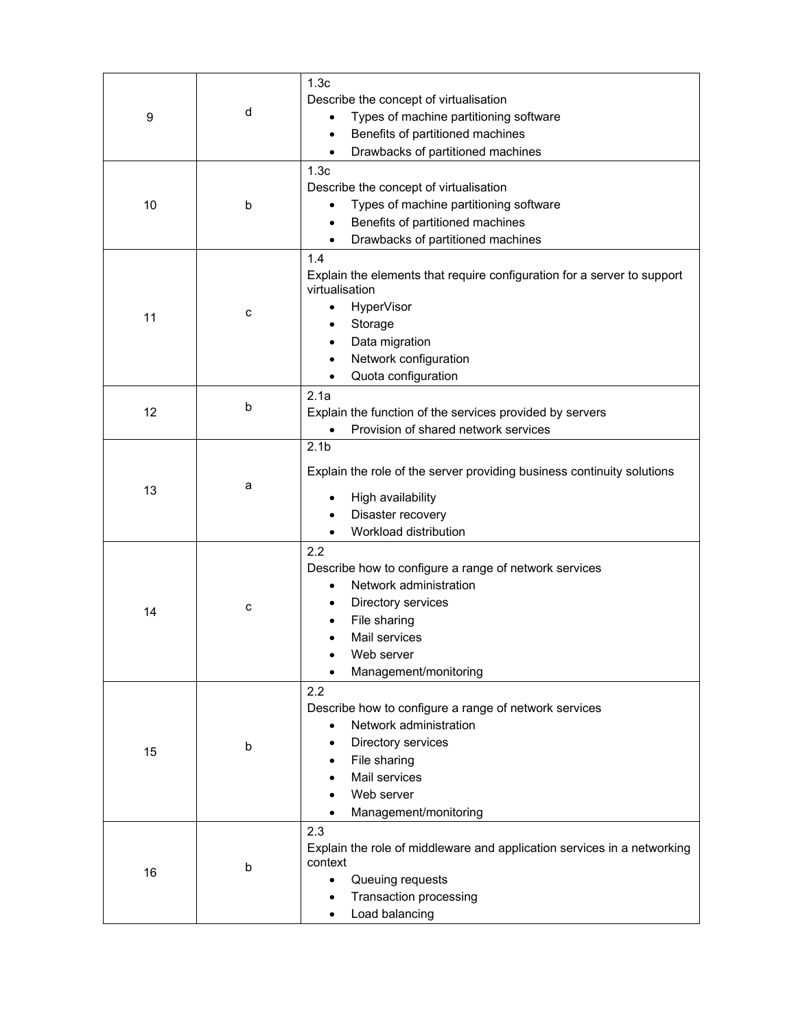| 9  | d | 1.3c<br>Describe the concept of virtualisation<br>Types of machine partitioning software<br>$\bullet$<br>Benefits of partitioned machines<br>$\bullet$<br>Drawbacks of partitioned machines       |
|----|---|---------------------------------------------------------------------------------------------------------------------------------------------------------------------------------------------------|
| 10 | b | 1.3c<br>Describe the concept of virtualisation<br>Types of machine partitioning software<br>Benefits of partitioned machines<br>Drawbacks of partitioned machines<br>$\bullet$                    |
| 11 | c | 1.4<br>Explain the elements that require configuration for a server to support<br>virtualisation<br>HyperVisor<br>Storage<br>Data migration<br>Network configuration<br>Quota configuration       |
| 12 | b | 2.1a<br>Explain the function of the services provided by servers<br>Provision of shared network services                                                                                          |
| 13 | a | 2.1 <sub>b</sub><br>Explain the role of the server providing business continuity solutions<br>High availability<br>Disaster recovery<br>Workload distribution                                     |
| 14 | C | 2.2<br>Describe how to configure a range of network services<br>Network administration<br>Directory services<br>File sharing<br>Mail services<br>Web server<br>Management/monitoring              |
| 15 | b | 2.2<br>Describe how to configure a range of network services<br>Network administration<br>$\bullet$<br>Directory services<br>File sharing<br>Mail services<br>Web server<br>Management/monitoring |
| 16 | b | 2.3<br>Explain the role of middleware and application services in a networking<br>context<br>Queuing requests<br>$\bullet$<br>Transaction processing<br>Load balancing                            |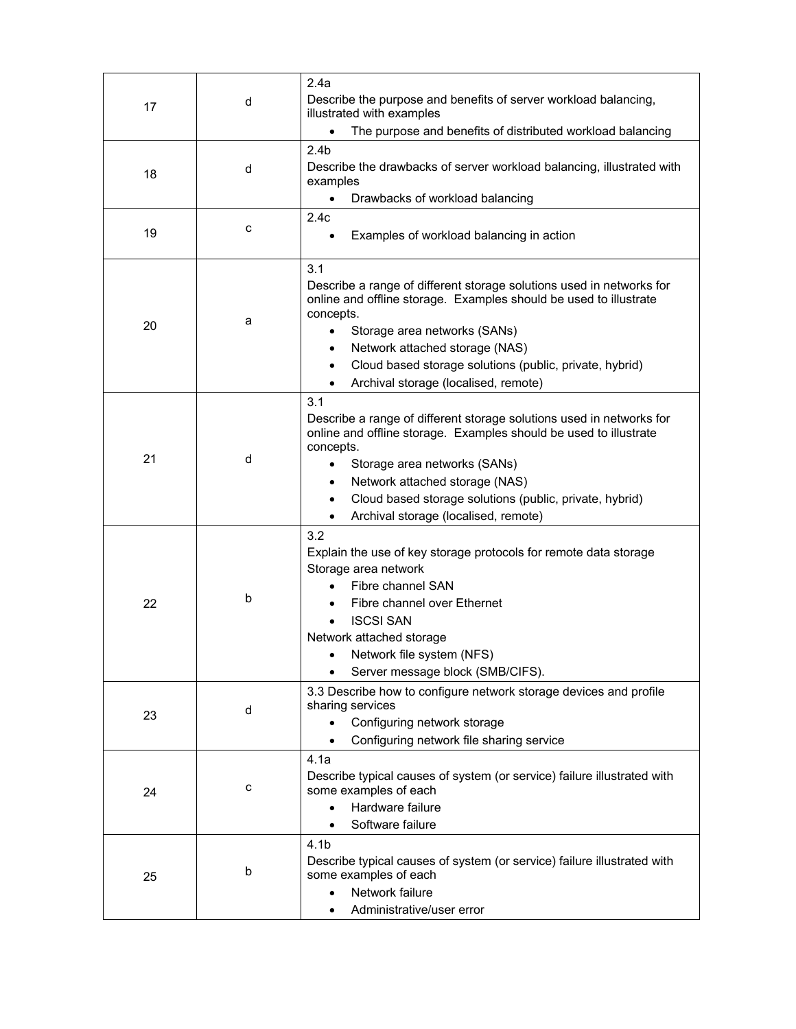| 17 | d | 2.4a<br>Describe the purpose and benefits of server workload balancing,<br>illustrated with examples<br>The purpose and benefits of distributed workload balancing<br>$\bullet$                                                                                                                                                                 |
|----|---|-------------------------------------------------------------------------------------------------------------------------------------------------------------------------------------------------------------------------------------------------------------------------------------------------------------------------------------------------|
| 18 | d | 2.4 <sub>b</sub><br>Describe the drawbacks of server workload balancing, illustrated with<br>examples<br>Drawbacks of workload balancing<br>$\bullet$                                                                                                                                                                                           |
| 19 | c | 2.4c<br>Examples of workload balancing in action                                                                                                                                                                                                                                                                                                |
| 20 | a | 3.1<br>Describe a range of different storage solutions used in networks for<br>online and offline storage. Examples should be used to illustrate<br>concepts.<br>Storage area networks (SANs)<br>Network attached storage (NAS)<br>Cloud based storage solutions (public, private, hybrid)<br>$\bullet$<br>Archival storage (localised, remote) |
| 21 | d | 3.1<br>Describe a range of different storage solutions used in networks for<br>online and offline storage. Examples should be used to illustrate<br>concepts.<br>Storage area networks (SANs)<br>Network attached storage (NAS)<br>Cloud based storage solutions (public, private, hybrid)<br>Archival storage (localised, remote)              |
| 22 | b | 3.2<br>Explain the use of key storage protocols for remote data storage<br>Storage area network<br>Fibre channel SAN<br>Fibre channel over Ethernet<br><b>ISCSI SAN</b><br>Network attached storage<br>Network file system (NFS)<br>Server message block (SMB/CIFS).                                                                            |
| 23 | d | 3.3 Describe how to configure network storage devices and profile<br>sharing services<br>Configuring network storage<br>Configuring network file sharing service                                                                                                                                                                                |
| 24 | c | 4.1a<br>Describe typical causes of system (or service) failure illustrated with<br>some examples of each<br>Hardware failure<br>Software failure                                                                                                                                                                                                |
| 25 | b | 4.1 <sub>b</sub><br>Describe typical causes of system (or service) failure illustrated with<br>some examples of each<br>Network failure<br>$\bullet$<br>Administrative/user error<br>$\bullet$                                                                                                                                                  |